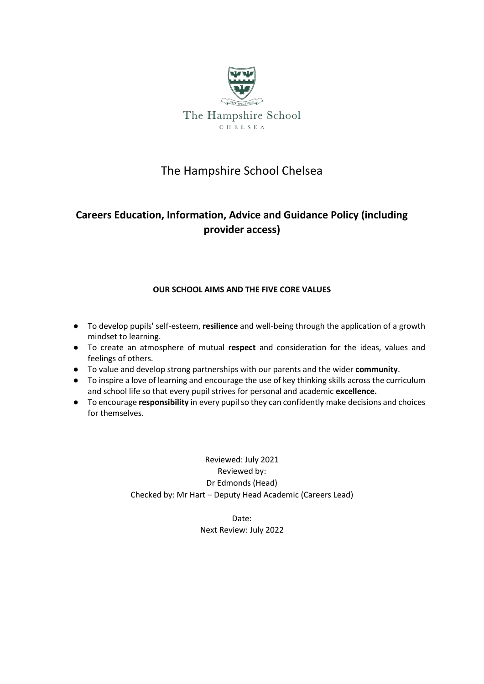

# The Hampshire School Chelsea

## **Careers Education, Information, Advice and Guidance Policy (including provider access)**

### **OUR SCHOOL AIMS AND THE FIVE CORE VALUES**

- To develop pupils' self-esteem, **resilience** and well-being through the application of a growth mindset to learning.
- To create an atmosphere of mutual **respect** and consideration for the ideas, values and feelings of others.
- To value and develop strong partnerships with our parents and the wider **community**.
- To inspire a love of learning and encourage the use of key thinking skills across the curriculum and school life so that every pupil strives for personal and academic **excellence.**
- To encourage **responsibility** in every pupil so they can confidently make decisions and choices for themselves.

Reviewed: July 2021 Reviewed by: Dr Edmonds (Head) Checked by: Mr Hart – Deputy Head Academic (Careers Lead)

> Date: Next Review: July 2022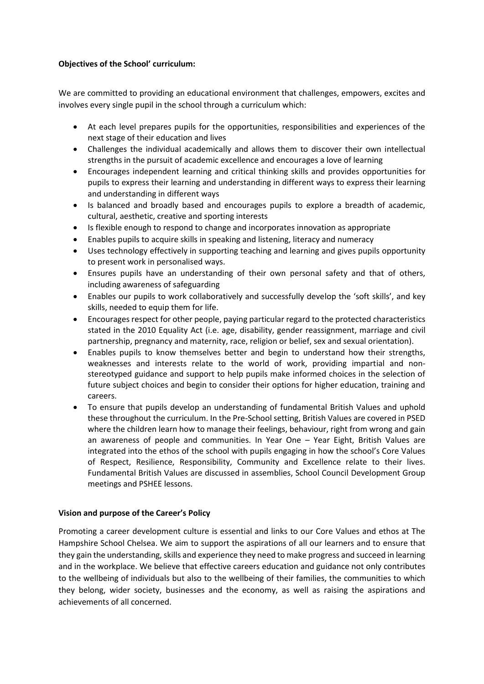#### **Objectives of the School' curriculum:**

We are committed to providing an educational environment that challenges, empowers, excites and involves every single pupil in the school through a curriculum which:

- At each level prepares pupils for the opportunities, responsibilities and experiences of the next stage of their education and lives
- Challenges the individual academically and allows them to discover their own intellectual strengths in the pursuit of academic excellence and encourages a love of learning
- Encourages independent learning and critical thinking skills and provides opportunities for pupils to express their learning and understanding in different ways to express their learning and understanding in different ways
- Is balanced and broadly based and encourages pupils to explore a breadth of academic, cultural, aesthetic, creative and sporting interests
- Is flexible enough to respond to change and incorporates innovation as appropriate
- Enables pupils to acquire skills in speaking and listening, literacy and numeracy
- Uses technology effectively in supporting teaching and learning and gives pupils opportunity to present work in personalised ways.
- Ensures pupils have an understanding of their own personal safety and that of others, including awareness of safeguarding
- Enables our pupils to work collaboratively and successfully develop the 'soft skills', and key skills, needed to equip them for life.
- Encourages respect for other people, paying particular regard to the protected characteristics stated in the 2010 Equality Act (i.e. age, disability, gender reassignment, marriage and civil partnership, pregnancy and maternity, race, religion or belief, sex and sexual orientation).
- Enables pupils to know themselves better and begin to understand how their strengths, weaknesses and interests relate to the world of work, providing impartial and nonstereotyped guidance and support to help pupils make informed choices in the selection of future subject choices and begin to consider their options for higher education, training and careers.
- To ensure that pupils develop an understanding of fundamental British Values and uphold these throughout the curriculum. In the Pre-School setting, British Values are covered in PSED where the children learn how to manage their feelings, behaviour, right from wrong and gain an awareness of people and communities. In Year One – Year Eight, British Values are integrated into the ethos of the school with pupils engaging in how the school's Core Values of Respect, Resilience, Responsibility, Community and Excellence relate to their lives. Fundamental British Values are discussed in assemblies, School Council Development Group meetings and PSHEE lessons.

#### **Vision and purpose of the Career's Policy**

Promoting a career development culture is essential and links to our Core Values and ethos at The Hampshire School Chelsea. We aim to support the aspirations of all our learners and to ensure that they gain the understanding, skills and experience they need to make progress and succeed in learning and in the workplace. We believe that effective careers education and guidance not only contributes to the wellbeing of individuals but also to the wellbeing of their families, the communities to which they belong, wider society, businesses and the economy, as well as raising the aspirations and achievements of all concerned.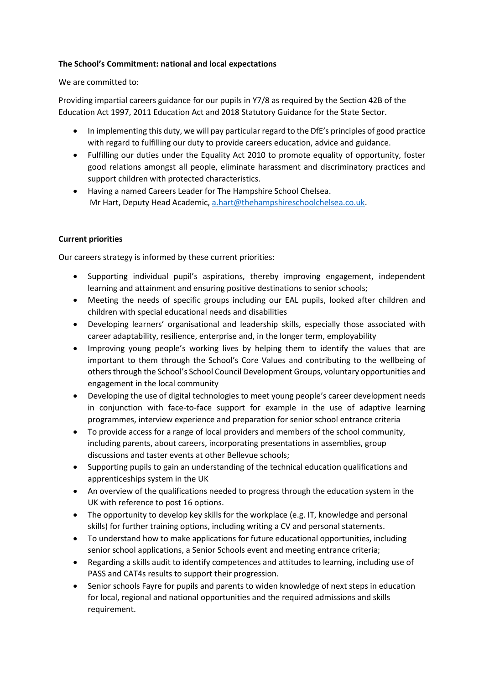#### **The School's Commitment: national and local expectations**

#### We are committed to:

Providing impartial careers guidance for our pupils in Y7/8 as required by the Section 42B of the Education Act 1997, 2011 Education Act and 2018 Statutory Guidance for the State Sector.

- In implementing this duty, we will pay particular regard to the DfE's principles of good practice with regard to fulfilling our duty to provide careers education, advice and guidance.
- Fulfilling our duties under the Equality Act 2010 to promote equality of opportunity, foster good relations amongst all people, eliminate harassment and discriminatory practices and support children with protected characteristics.
- Having a named Careers Leader for The Hampshire School Chelsea. Mr Hart, Deputy Head Academic[, a.hart@thehampshireschoolchelsea.co.uk.](mailto:a.hart@thehampshireschoolchelsea.co.uk)

#### **Current priorities**

Our careers strategy is informed by these current priorities:

- Supporting individual pupil's aspirations, thereby improving engagement, independent learning and attainment and ensuring positive destinations to senior schools;
- Meeting the needs of specific groups including our EAL pupils, looked after children and children with special educational needs and disabilities
- Developing learners' organisational and leadership skills, especially those associated with career adaptability, resilience, enterprise and, in the longer term, employability
- Improving young people's working lives by helping them to identify the values that are important to them through the School's Core Values and contributing to the wellbeing of others through the School's School Council Development Groups, voluntary opportunities and engagement in the local community
- Developing the use of digital technologies to meet young people's career development needs in conjunction with face-to-face support for example in the use of adaptive learning programmes, interview experience and preparation for senior school entrance criteria
- To provide access for a range of local providers and members of the school community, including parents, about careers, incorporating presentations in assemblies, group discussions and taster events at other Bellevue schools;
- Supporting pupils to gain an understanding of the technical education qualifications and apprenticeships system in the UK
- An overview of the qualifications needed to progress through the education system in the UK with reference to post 16 options.
- The opportunity to develop key skills for the workplace (e.g. IT, knowledge and personal skills) for further training options, including writing a CV and personal statements.
- To understand how to make applications for future educational opportunities, including senior school applications, a Senior Schools event and meeting entrance criteria;
- Regarding a skills audit to identify competences and attitudes to learning, including use of PASS and CAT4s results to support their progression.
- Senior schools Fayre for pupils and parents to widen knowledge of next steps in education for local, regional and national opportunities and the required admissions and skills requirement.